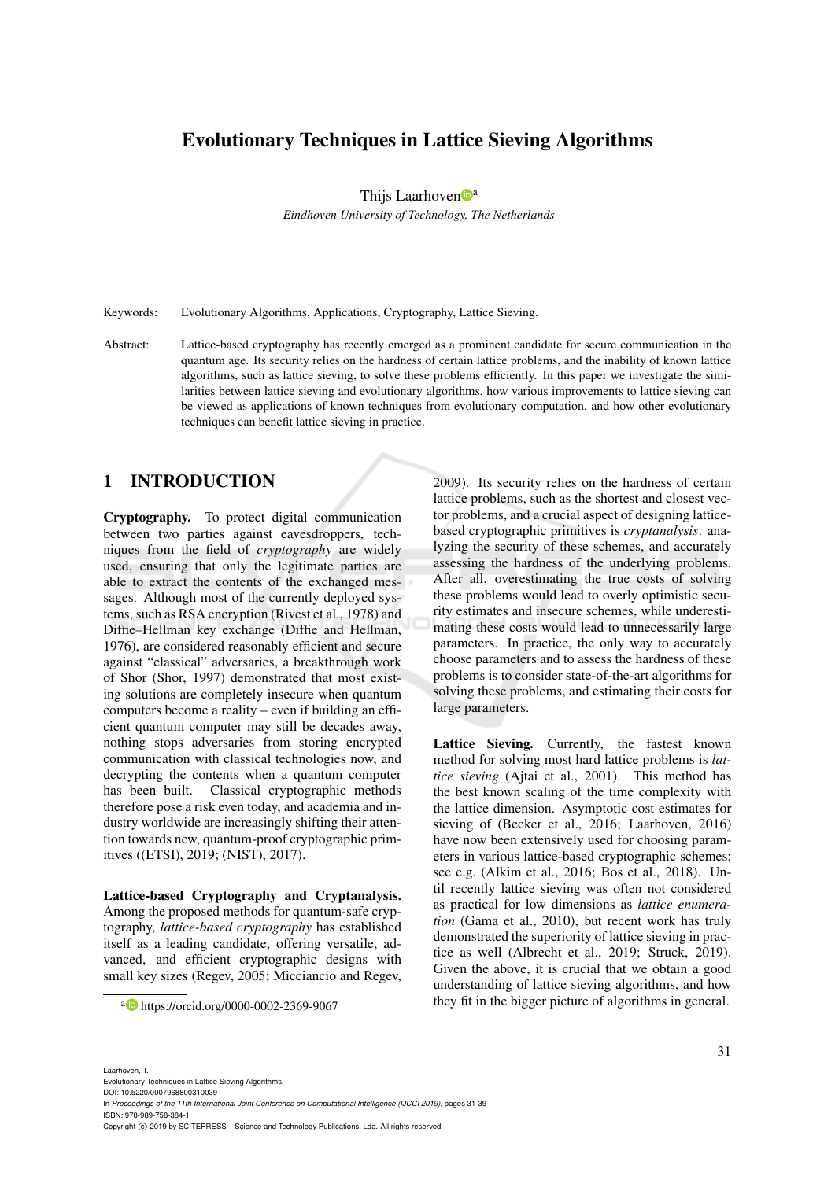# Evolutionary Techniques in Lattice Sieving Algorithms

Thijs Laarhoven $\mathbb{D}^a$ 

*Eindhoven University of Technology, The Netherlands*

Keywords: Evolutionary Algorithms, Applications, Cryptography, Lattice Sieving.

Abstract: Lattice-based cryptography has recently emerged as a prominent candidate for secure communication in the quantum age. Its security relies on the hardness of certain lattice problems, and the inability of known lattice algorithms, such as lattice sieving, to solve these problems efficiently. In this paper we investigate the similarities between lattice sieving and evolutionary algorithms, how various improvements to lattice sieving can be viewed as applications of known techniques from evolutionary computation, and how other evolutionary techniques can benefit lattice sieving in practice.

### 1 INTRODUCTION

Cryptography. To protect digital communication between two parties against eavesdroppers, techniques from the field of *cryptography* are widely used, ensuring that only the legitimate parties are able to extract the contents of the exchanged messages. Although most of the currently deployed systems, such as RSA encryption (Rivest et al., 1978) and Diffie–Hellman key exchange (Diffie and Hellman, 1976), are considered reasonably efficient and secure against "classical" adversaries, a breakthrough work of Shor (Shor, 1997) demonstrated that most existing solutions are completely insecure when quantum computers become a reality – even if building an efficient quantum computer may still be decades away, nothing stops adversaries from storing encrypted communication with classical technologies now, and decrypting the contents when a quantum computer has been built. Classical cryptographic methods therefore pose a risk even today, and academia and industry worldwide are increasingly shifting their attention towards new, quantum-proof cryptographic primitives ((ETSI), 2019; (NIST), 2017).

Lattice-based Cryptography and Cryptanalysis. Among the proposed methods for quantum-safe cryptography, *lattice-based cryptography* has established itself as a leading candidate, offering versatile, advanced, and efficient cryptographic designs with small key sizes (Regev, 2005; Micciancio and Regev, 2009). Its security relies on the hardness of certain lattice problems, such as the shortest and closest vector problems, and a crucial aspect of designing latticebased cryptographic primitives is *cryptanalysis*: analyzing the security of these schemes, and accurately assessing the hardness of the underlying problems. After all, overestimating the true costs of solving these problems would lead to overly optimistic security estimates and insecure schemes, while underestimating these costs would lead to unnecessarily large parameters. In practice, the only way to accurately choose parameters and to assess the hardness of these problems is to consider state-of-the-art algorithms for solving these problems, and estimating their costs for large parameters.

Lattice Sieving. Currently, the fastest known method for solving most hard lattice problems is *lattice sieving* (Ajtai et al., 2001). This method has the best known scaling of the time complexity with the lattice dimension. Asymptotic cost estimates for sieving of (Becker et al., 2016; Laarhoven, 2016) have now been extensively used for choosing parameters in various lattice-based cryptographic schemes; see e.g. (Alkim et al., 2016; Bos et al., 2018). Until recently lattice sieving was often not considered as practical for low dimensions as *lattice enumeration* (Gama et al., 2010), but recent work has truly demonstrated the superiority of lattice sieving in practice as well (Albrecht et al., 2019; Struck, 2019). Given the above, it is crucial that we obtain a good understanding of lattice sieving algorithms, and how they fit in the bigger picture of algorithms in general.

a https://orcid.org/0000-0002-2369-9067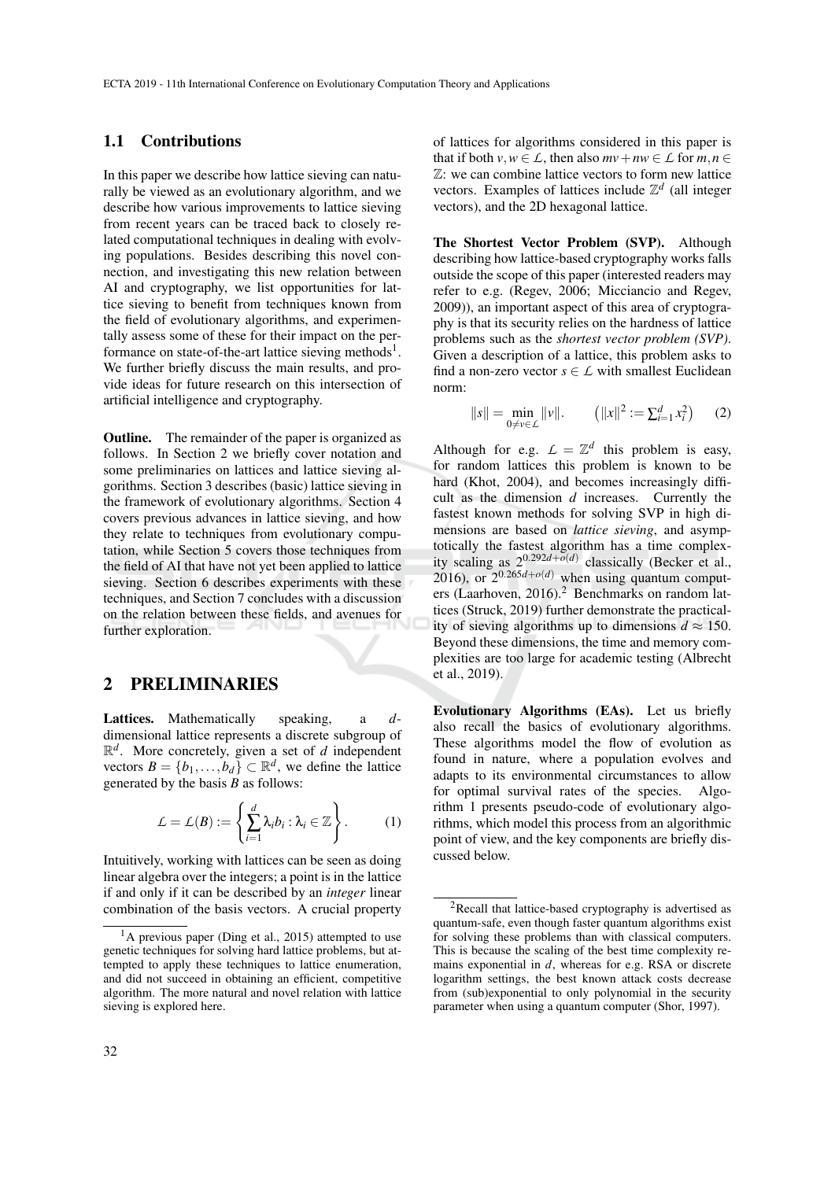#### 1.1 Contributions

In this paper we describe how lattice sieving can naturally be viewed as an evolutionary algorithm, and we describe how various improvements to lattice sieving from recent years can be traced back to closely related computational techniques in dealing with evolving populations. Besides describing this novel connection, and investigating this new relation between AI and cryptography, we list opportunities for lattice sieving to benefit from techniques known from the field of evolutionary algorithms, and experimentally assess some of these for their impact on the performance on state-of-the-art lattice sieving methods<sup>1</sup>. We further briefly discuss the main results, and provide ideas for future research on this intersection of artificial intelligence and cryptography.

**Outline.** The remainder of the paper is organized as follows. In Section 2 we briefly cover notation and some preliminaries on lattices and lattice sieving algorithms. Section 3 describes (basic) lattice sieving in the framework of evolutionary algorithms. Section 4 covers previous advances in lattice sieving, and how they relate to techniques from evolutionary computation, while Section 5 covers those techniques from the field of AI that have not yet been applied to lattice sieving. Section 6 describes experiments with these techniques, and Section 7 concludes with a discussion on the relation between these fields, and avenues for further exploration.

### 2 PRELIMINARIES

Lattices. Mathematically speaking, a *d*dimensional lattice represents a discrete subgroup of  $\mathbb{R}^d$ . More concretely, given a set of *d* independent vectors  $B = \{b_1, \ldots, b_d\} \subset \mathbb{R}^d$ , we define the lattice generated by the basis *B* as follows:

$$
\mathcal{L} = \mathcal{L}(B) := \left\{ \sum_{i=1}^d \lambda_i b_i : \lambda_i \in \mathbb{Z} \right\}.
$$
 (1)

Intuitively, working with lattices can be seen as doing linear algebra over the integers; a point is in the lattice if and only if it can be described by an *integer* linear combination of the basis vectors. A crucial property of lattices for algorithms considered in this paper is that if both  $v, w \in L$ , then also  $mv + nw \in L$  for  $m, n \in L$ Z: we can combine lattice vectors to form new lattice vectors. Examples of lattices include  $\mathbb{Z}^d$  (all integer vectors), and the 2D hexagonal lattice.

The Shortest Vector Problem (SVP). Although describing how lattice-based cryptography works falls outside the scope of this paper (interested readers may refer to e.g. (Regev, 2006; Micciancio and Regev, 2009)), an important aspect of this area of cryptography is that its security relies on the hardness of lattice problems such as the *shortest vector problem (SVP)*. Given a description of a lattice, this problem asks to find a non-zero vector  $s \in \mathcal{L}$  with smallest Euclidean norm:

$$
||s|| = \min_{0 \neq v \in \mathcal{L}} ||v||. \qquad (||x||^2 := \sum_{i=1}^d x_i^2) \qquad (2)
$$

Although for e.g.  $L = \mathbb{Z}^d$  this problem is easy, for random lattices this problem is known to be hard (Khot, 2004), and becomes increasingly difficult as the dimension *d* increases. Currently the fastest known methods for solving SVP in high dimensions are based on *lattice sieving*, and asymptotically the fastest algorithm has a time complexity scaling as 20.292*d*+*o*(*d*) classically (Becker et al., 2016), or  $2^{0.265d + o(d)}$  when using quantum computers (Laarhoven, 2016).<sup>2</sup> Benchmarks on random lattices (Struck, 2019) further demonstrate the practicality of sieving algorithms up to dimensions  $d \approx 150$ . Beyond these dimensions, the time and memory complexities are too large for academic testing (Albrecht et al., 2019).

Evolutionary Algorithms (EAs). Let us briefly also recall the basics of evolutionary algorithms. These algorithms model the flow of evolution as found in nature, where a population evolves and adapts to its environmental circumstances to allow for optimal survival rates of the species. Algorithm 1 presents pseudo-code of evolutionary algorithms, which model this process from an algorithmic point of view, and the key components are briefly discussed below.

 $<sup>1</sup>A$  previous paper (Ding et al., 2015) attempted to use</sup> genetic techniques for solving hard lattice problems, but attempted to apply these techniques to lattice enumeration, and did not succeed in obtaining an efficient, competitive algorithm. The more natural and novel relation with lattice sieving is explored here.

 ${}^{2}$ Recall that lattice-based cryptography is advertised as quantum-safe, even though faster quantum algorithms exist for solving these problems than with classical computers. This is because the scaling of the best time complexity remains exponential in *d*, whereas for e.g. RSA or discrete logarithm settings, the best known attack costs decrease from (sub)exponential to only polynomial in the security parameter when using a quantum computer (Shor, 1997).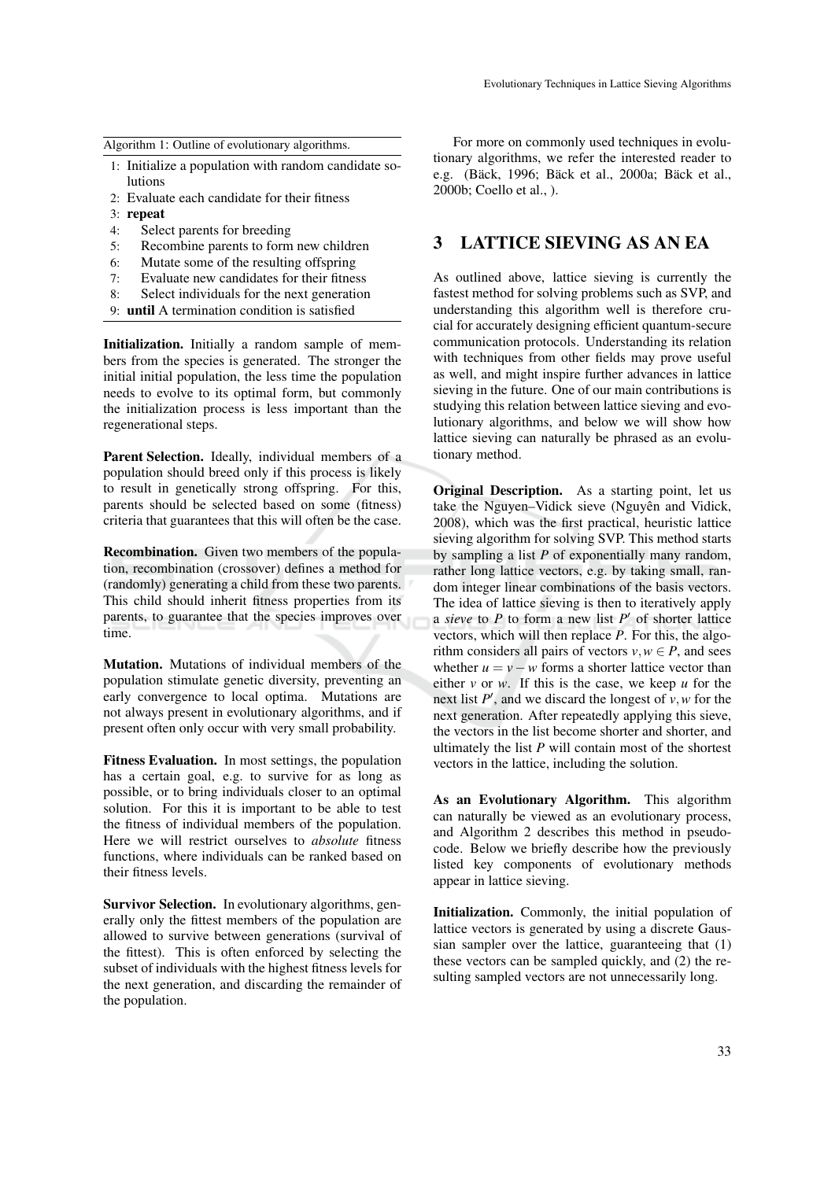Algorithm 1: Outline of evolutionary algorithms.

- 1: Initialize a population with random candidate solutions
- 2: Evaluate each candidate for their fitness
- 3: repeat
- 4: Select parents for breeding
- 5: Recombine parents to form new children
- 6: Mutate some of the resulting offspring
- 7: Evaluate new candidates for their fitness
- 8: Select individuals for the next generation
- 9: until A termination condition is satisfied

Initialization. Initially a random sample of members from the species is generated. The stronger the initial initial population, the less time the population needs to evolve to its optimal form, but commonly the initialization process is less important than the regenerational steps.

Parent Selection. Ideally, individual members of a population should breed only if this process is likely to result in genetically strong offspring. For this, parents should be selected based on some (fitness) criteria that guarantees that this will often be the case.

Recombination. Given two members of the population, recombination (crossover) defines a method for (randomly) generating a child from these two parents. This child should inherit fitness properties from its parents, to guarantee that the species improves over time.

Mutation. Mutations of individual members of the population stimulate genetic diversity, preventing an early convergence to local optima. Mutations are not always present in evolutionary algorithms, and if present often only occur with very small probability.

Fitness Evaluation. In most settings, the population has a certain goal, e.g. to survive for as long as possible, or to bring individuals closer to an optimal solution. For this it is important to be able to test the fitness of individual members of the population. Here we will restrict ourselves to *absolute* fitness functions, where individuals can be ranked based on their fitness levels.

Survivor Selection. In evolutionary algorithms, generally only the fittest members of the population are allowed to survive between generations (survival of the fittest). This is often enforced by selecting the subset of individuals with the highest fitness levels for the next generation, and discarding the remainder of the population.

For more on commonly used techniques in evolutionary algorithms, we refer the interested reader to e.g. (Bäck, 1996; Bäck et al., 2000a; Bäck et al., 2000b; Coello et al., ).

# 3 LATTICE SIEVING AS AN EA

As outlined above, lattice sieving is currently the fastest method for solving problems such as SVP, and understanding this algorithm well is therefore crucial for accurately designing efficient quantum-secure communication protocols. Understanding its relation with techniques from other fields may prove useful as well, and might inspire further advances in lattice sieving in the future. One of our main contributions is studying this relation between lattice sieving and evolutionary algorithms, and below we will show how lattice sieving can naturally be phrased as an evolutionary method.

Original Description. As a starting point, let us take the Nguyen–Vidick sieve (Nguyên and Vidick, 2008), which was the first practical, heuristic lattice sieving algorithm for solving SVP. This method starts by sampling a list *P* of exponentially many random, rather long lattice vectors, e.g. by taking small, random integer linear combinations of the basis vectors. The idea of lattice sieving is then to iteratively apply a *sieve* to  $P$  to form a new list  $P'$  of shorter lattice vectors, which will then replace *P*. For this, the algorithm considers all pairs of vectors  $v, w \in P$ , and sees whether  $u = v - w$  forms a shorter lattice vector than either *v* or *w*. If this is the case, we keep *u* for the next list  $P'$ , and we discard the longest of  $v, w$  for the next generation. After repeatedly applying this sieve, the vectors in the list become shorter and shorter, and ultimately the list *P* will contain most of the shortest vectors in the lattice, including the solution.

As an Evolutionary Algorithm. This algorithm can naturally be viewed as an evolutionary process, and Algorithm 2 describes this method in pseudocode. Below we briefly describe how the previously listed key components of evolutionary methods appear in lattice sieving.

Initialization. Commonly, the initial population of lattice vectors is generated by using a discrete Gaussian sampler over the lattice, guaranteeing that (1) these vectors can be sampled quickly, and (2) the resulting sampled vectors are not unnecessarily long.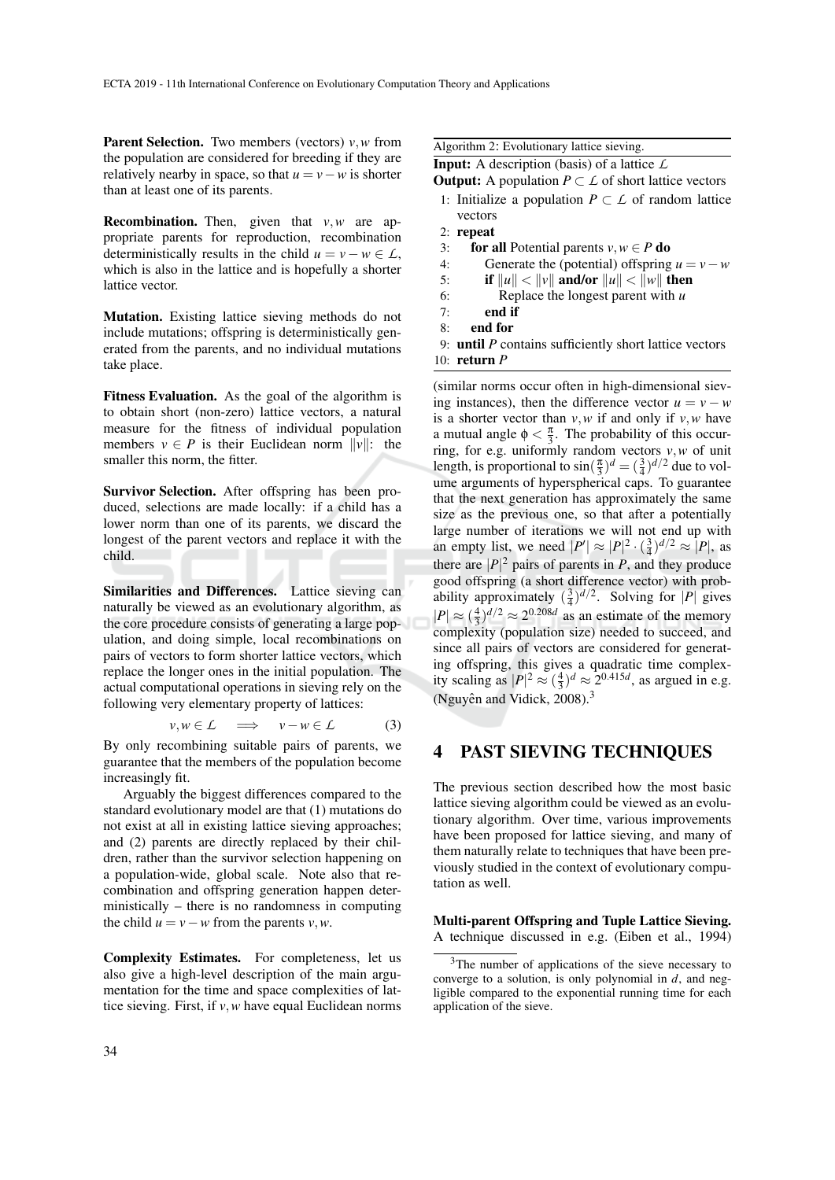Parent Selection. Two members (vectors) *v*,*w* from the population are considered for breeding if they are relatively nearby in space, so that  $u = v - w$  is shorter than at least one of its parents.

Recombination. Then, given that *v*,*w* are appropriate parents for reproduction, recombination deterministically results in the child  $u = v - w \in L$ , which is also in the lattice and is hopefully a shorter lattice vector.

Mutation. Existing lattice sieving methods do not include mutations; offspring is deterministically generated from the parents, and no individual mutations take place.

Fitness Evaluation. As the goal of the algorithm is to obtain short (non-zero) lattice vectors, a natural measure for the fitness of individual population members  $v \in P$  is their Euclidean norm  $||v||$ : the smaller this norm, the fitter.

Survivor Selection. After offspring has been produced, selections are made locally: if a child has a lower norm than one of its parents, we discard the longest of the parent vectors and replace it with the child.

Similarities and Differences. Lattice sieving can naturally be viewed as an evolutionary algorithm, as the core procedure consists of generating a large population, and doing simple, local recombinations on pairs of vectors to form shorter lattice vectors, which replace the longer ones in the initial population. The actual computational operations in sieving rely on the following very elementary property of lattices:

$$
v, w \in \mathcal{L} \quad \Longrightarrow \quad v - w \in \mathcal{L} \tag{3}
$$

By only recombining suitable pairs of parents, we guarantee that the members of the population become increasingly fit.

Arguably the biggest differences compared to the standard evolutionary model are that (1) mutations do not exist at all in existing lattice sieving approaches; and (2) parents are directly replaced by their children, rather than the survivor selection happening on a population-wide, global scale. Note also that recombination and offspring generation happen deterministically – there is no randomness in computing the child  $u = v - w$  from the parents  $v, w$ .

Complexity Estimates. For completeness, let us also give a high-level description of the main argumentation for the time and space complexities of lattice sieving. First, if *v*,*w* have equal Euclidean norms Algorithm 2: Evolutionary lattice sieving.

Input: A description (basis) of a lattice *L*

**Output:** A population  $P \subset L$  of short lattice vectors

- 1: Initialize a population  $P \subset \mathcal{L}$  of random lattice vectors
- 2: repeat
- 3: **for all Potential parents**  $v, w \in P$  **do**
- 4: Generate the (potential) offspring  $u = v w$
- 5: if  $\|u\| < \|v\|$  and/or  $\|u\| < \|w\|$  then
- 6: Replace the longest parent with *u*
- $7 \cdot$  end if
- 8: end for
- 9: until *P* contains sufficiently short lattice vectors 10: return *P*

(similar norms occur often in high-dimensional sieving instances), then the difference vector  $u = v - w$ is a shorter vector than  $v, w$  if and only if  $v, w$  have a mutual angle  $\phi < \frac{\pi}{3}$ . The probability of this occurring, for e.g. uniformly random vectors *v*,*w* of unit length, is proportional to  $\sin(\frac{\pi}{3})^d = (\frac{3}{4})^{d/2}$  due to volume arguments of hyperspherical caps. To guarantee that the next generation has approximately the same size as the previous one, so that after a potentially large number of iterations we will not end up with an empty list, we need  $|P'| \approx |P|^2 \cdot (\frac{3}{4})^{d/2} \approx |P|$ , as there are  $|P|^2$  pairs of parents in *P*, and they produce good offspring (a short difference vector) with probability approximately  $(\frac{3}{4})^{d/2}$ . Solving for |*P*| gives  $|P| \approx \left(\frac{4}{3}\right)^{d/2} \approx 2^{0.208d}$  as an estimate of the memory complexity (population size) needed to succeed, and since all pairs of vectors are considered for generating offspring, this gives a quadratic time complexity scaling as  $|P|^2 \approx \left(\frac{4}{3}\right)^d \approx 2^{0.415d}$ , as argued in e.g. (Nguyên and Vidick, 2008).<sup>3</sup>

#### 4 PAST SIEVING TECHNIQUES

The previous section described how the most basic lattice sieving algorithm could be viewed as an evolutionary algorithm. Over time, various improvements have been proposed for lattice sieving, and many of them naturally relate to techniques that have been previously studied in the context of evolutionary computation as well.

Multi-parent Offspring and Tuple Lattice Sieving. A technique discussed in e.g. (Eiben et al., 1994)

<sup>&</sup>lt;sup>3</sup>The number of applications of the sieve necessary to converge to a solution, is only polynomial in *d*, and negligible compared to the exponential running time for each application of the sieve.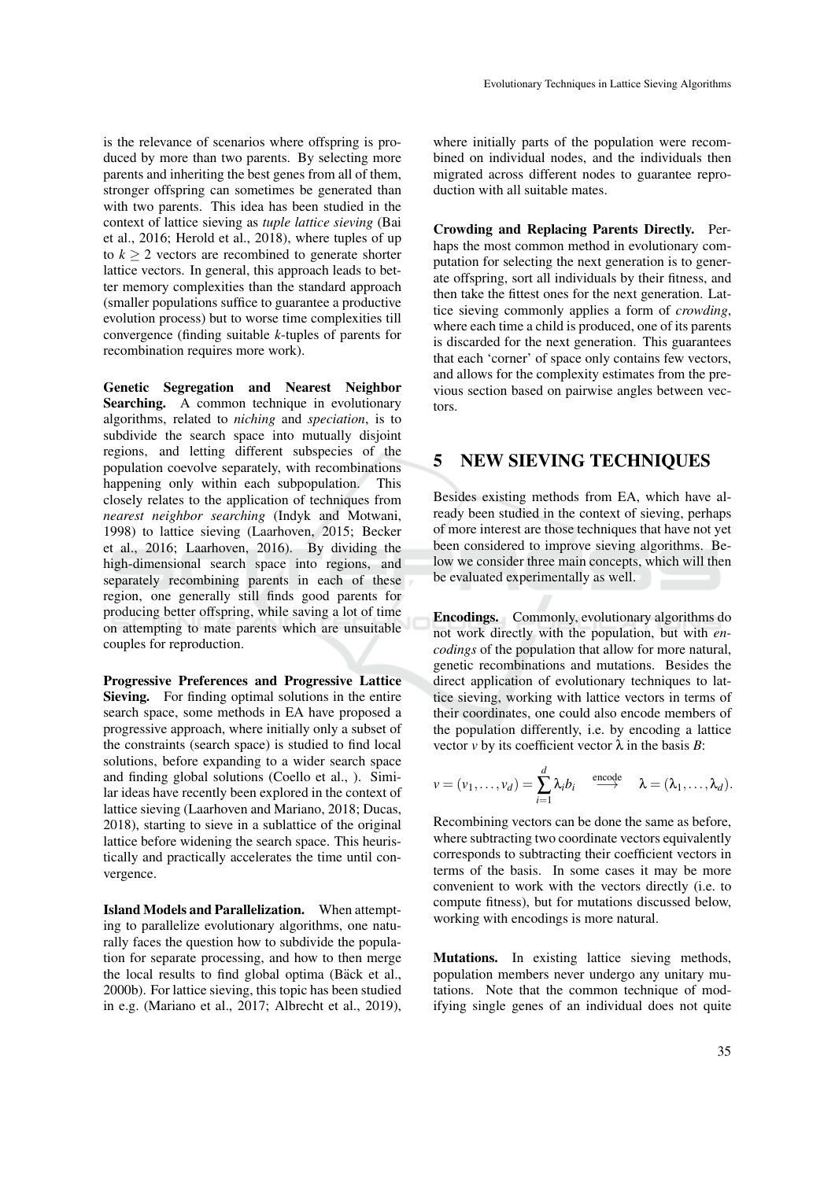is the relevance of scenarios where offspring is produced by more than two parents. By selecting more parents and inheriting the best genes from all of them, stronger offspring can sometimes be generated than with two parents. This idea has been studied in the context of lattice sieving as *tuple lattice sieving* (Bai et al., 2016; Herold et al., 2018), where tuples of up to  $k > 2$  vectors are recombined to generate shorter lattice vectors. In general, this approach leads to better memory complexities than the standard approach (smaller populations suffice to guarantee a productive evolution process) but to worse time complexities till convergence (finding suitable *k*-tuples of parents for recombination requires more work).

Genetic Segregation and Nearest Neighbor Searching. A common technique in evolutionary algorithms, related to *niching* and *speciation*, is to subdivide the search space into mutually disjoint regions, and letting different subspecies of the population coevolve separately, with recombinations happening only within each subpopulation. This closely relates to the application of techniques from *nearest neighbor searching* (Indyk and Motwani, 1998) to lattice sieving (Laarhoven, 2015; Becker et al., 2016; Laarhoven, 2016). By dividing the high-dimensional search space into regions, and separately recombining parents in each of these region, one generally still finds good parents for producing better offspring, while saving a lot of time on attempting to mate parents which are unsuitable couples for reproduction.

Progressive Preferences and Progressive Lattice Sieving. For finding optimal solutions in the entire search space, some methods in EA have proposed a progressive approach, where initially only a subset of the constraints (search space) is studied to find local solutions, before expanding to a wider search space and finding global solutions (Coello et al., ). Similar ideas have recently been explored in the context of lattice sieving (Laarhoven and Mariano, 2018; Ducas, 2018), starting to sieve in a sublattice of the original lattice before widening the search space. This heuristically and practically accelerates the time until convergence.

Island Models and Parallelization. When attempting to parallelize evolutionary algorithms, one naturally faces the question how to subdivide the population for separate processing, and how to then merge the local results to find global optima (Bäck et al., 2000b). For lattice sieving, this topic has been studied in e.g. (Mariano et al., 2017; Albrecht et al., 2019),

where initially parts of the population were recombined on individual nodes, and the individuals then migrated across different nodes to guarantee reproduction with all suitable mates.

Crowding and Replacing Parents Directly. Perhaps the most common method in evolutionary computation for selecting the next generation is to generate offspring, sort all individuals by their fitness, and then take the fittest ones for the next generation. Lattice sieving commonly applies a form of *crowding*, where each time a child is produced, one of its parents is discarded for the next generation. This guarantees that each 'corner' of space only contains few vectors, and allows for the complexity estimates from the previous section based on pairwise angles between vectors.

### 5 NEW SIEVING TECHNIQUES

Besides existing methods from EA, which have already been studied in the context of sieving, perhaps of more interest are those techniques that have not yet been considered to improve sieving algorithms. Below we consider three main concepts, which will then be evaluated experimentally as well.

Encodings. Commonly, evolutionary algorithms do not work directly with the population, but with *encodings* of the population that allow for more natural, genetic recombinations and mutations. Besides the direct application of evolutionary techniques to lattice sieving, working with lattice vectors in terms of their coordinates, one could also encode members of the population differently, i.e. by encoding a lattice vector  $\nu$  by its coefficient vector  $\lambda$  in the basis *B*:

$$
v = (v_1, ..., v_d) = \sum_{i=1}^d \lambda_i b_i \stackrel{\text{encode}}{\longrightarrow} \lambda = (\lambda_1, ..., \lambda_d).
$$

Recombining vectors can be done the same as before, where subtracting two coordinate vectors equivalently corresponds to subtracting their coefficient vectors in terms of the basis. In some cases it may be more convenient to work with the vectors directly (i.e. to compute fitness), but for mutations discussed below, working with encodings is more natural.

Mutations. In existing lattice sieving methods, population members never undergo any unitary mutations. Note that the common technique of modifying single genes of an individual does not quite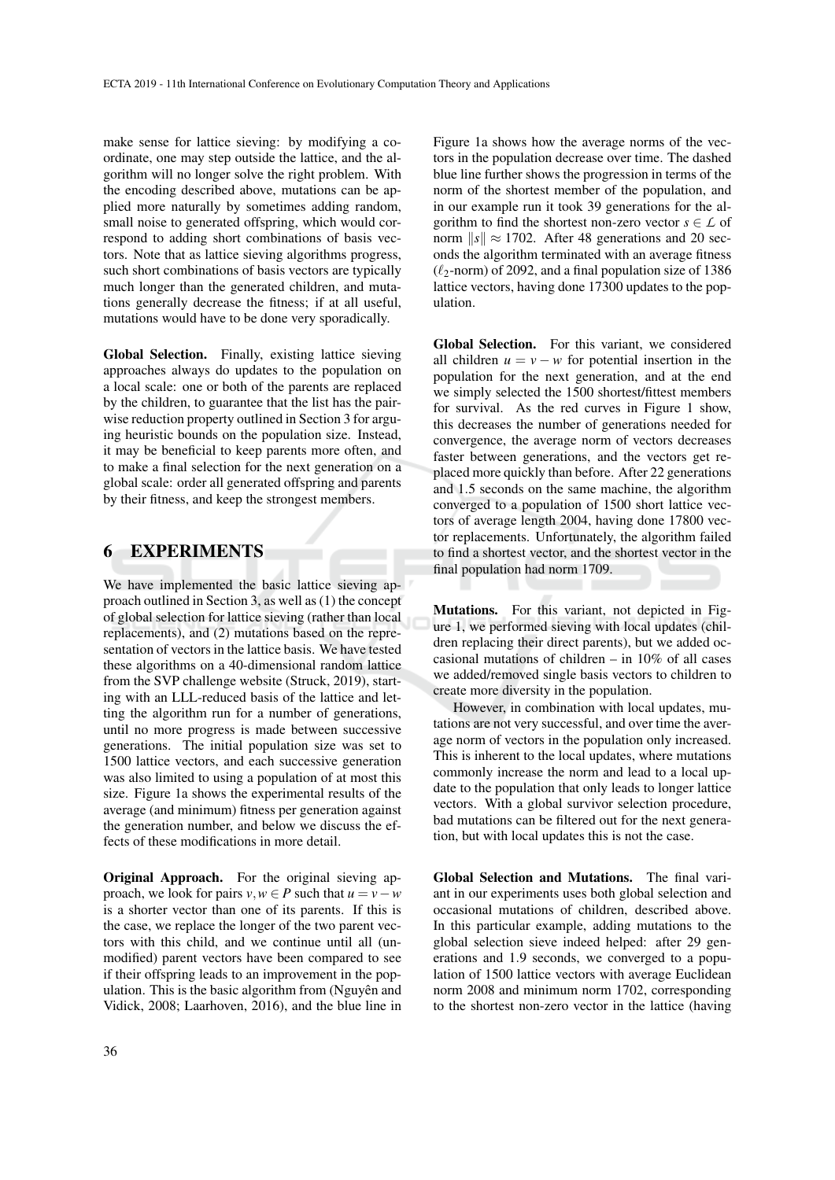make sense for lattice sieving: by modifying a coordinate, one may step outside the lattice, and the algorithm will no longer solve the right problem. With the encoding described above, mutations can be applied more naturally by sometimes adding random, small noise to generated offspring, which would correspond to adding short combinations of basis vectors. Note that as lattice sieving algorithms progress, such short combinations of basis vectors are typically much longer than the generated children, and mutations generally decrease the fitness; if at all useful, mutations would have to be done very sporadically.

Global Selection. Finally, existing lattice sieving approaches always do updates to the population on a local scale: one or both of the parents are replaced by the children, to guarantee that the list has the pairwise reduction property outlined in Section 3 for arguing heuristic bounds on the population size. Instead, it may be beneficial to keep parents more often, and to make a final selection for the next generation on a global scale: order all generated offspring and parents by their fitness, and keep the strongest members.

#### 6 EXPERIMENTS

We have implemented the basic lattice sieving approach outlined in Section 3, as well as (1) the concept of global selection for lattice sieving (rather than local replacements), and (2) mutations based on the representation of vectors in the lattice basis. We have tested these algorithms on a 40-dimensional random lattice from the SVP challenge website (Struck, 2019), starting with an LLL-reduced basis of the lattice and letting the algorithm run for a number of generations, until no more progress is made between successive generations. The initial population size was set to 1500 lattice vectors, and each successive generation was also limited to using a population of at most this size. Figure 1a shows the experimental results of the average (and minimum) fitness per generation against the generation number, and below we discuss the effects of these modifications in more detail.

Original Approach. For the original sieving approach, we look for pairs  $v, w \in P$  such that  $u = v - w$ is a shorter vector than one of its parents. If this is the case, we replace the longer of the two parent vectors with this child, and we continue until all (unmodified) parent vectors have been compared to see if their offspring leads to an improvement in the population. This is the basic algorithm from  $(Nguy\hat{e}n$  and Vidick, 2008; Laarhoven, 2016), and the blue line in Figure 1a shows how the average norms of the vectors in the population decrease over time. The dashed blue line further shows the progression in terms of the norm of the shortest member of the population, and in our example run it took 39 generations for the algorithm to find the shortest non-zero vector  $s \in \mathcal{L}$  of norm  $\|s\| \approx 1702$ . After 48 generations and 20 seconds the algorithm terminated with an average fitness  $(\ell_2$ -norm) of 2092, and a final population size of 1386 lattice vectors, having done 17300 updates to the population.

Global Selection. For this variant, we considered all children  $u = v - w$  for potential insertion in the population for the next generation, and at the end we simply selected the 1500 shortest/fittest members for survival. As the red curves in Figure 1 show, this decreases the number of generations needed for convergence, the average norm of vectors decreases faster between generations, and the vectors get replaced more quickly than before. After 22 generations and 1.5 seconds on the same machine, the algorithm converged to a population of 1500 short lattice vectors of average length 2004, having done 17800 vector replacements. Unfortunately, the algorithm failed to find a shortest vector, and the shortest vector in the final population had norm 1709.

Mutations. For this variant, not depicted in Figure 1, we performed sieving with local updates (children replacing their direct parents), but we added occasional mutations of children – in 10% of all cases we added/removed single basis vectors to children to create more diversity in the population.

However, in combination with local updates, mutations are not very successful, and over time the average norm of vectors in the population only increased. This is inherent to the local updates, where mutations commonly increase the norm and lead to a local update to the population that only leads to longer lattice vectors. With a global survivor selection procedure, bad mutations can be filtered out for the next generation, but with local updates this is not the case.

Global Selection and Mutations. The final variant in our experiments uses both global selection and occasional mutations of children, described above. In this particular example, adding mutations to the global selection sieve indeed helped: after 29 generations and 1.9 seconds, we converged to a population of 1500 lattice vectors with average Euclidean norm 2008 and minimum norm 1702, corresponding to the shortest non-zero vector in the lattice (having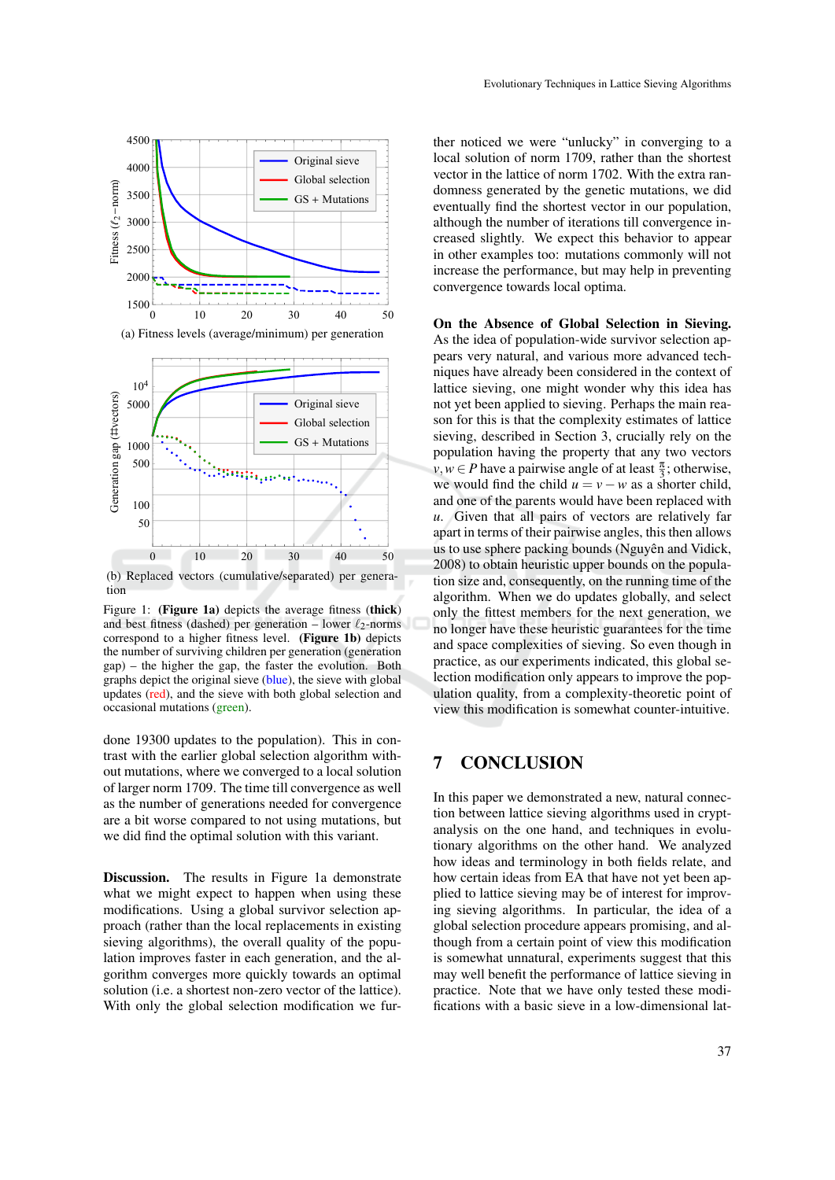

(b) Replaced vectors (cumulative/separated) per generation

Figure 1: (**Figure 1a**) depicts the average fitness (**thick**) and best fitness (dashed) per generation – lower  $\ell_2$ -norms correspond to a higher fitness level. (Figure 1b) depicts the number of surviving children per generation (generation gap) – the higher the gap, the faster the evolution. Both graphs depict the original sieve (blue), the sieve with global updates (red), and the sieve with both global selection and occasional mutations (green).

done 19300 updates to the population). This in contrast with the earlier global selection algorithm without mutations, where we converged to a local solution of larger norm 1709. The time till convergence as well as the number of generations needed for convergence are a bit worse compared to not using mutations, but we did find the optimal solution with this variant.

Discussion. The results in Figure 1a demonstrate what we might expect to happen when using these modifications. Using a global survivor selection approach (rather than the local replacements in existing sieving algorithms), the overall quality of the population improves faster in each generation, and the algorithm converges more quickly towards an optimal solution (i.e. a shortest non-zero vector of the lattice). With only the global selection modification we fur-

ther noticed we were "unlucky" in converging to a local solution of norm 1709, rather than the shortest vector in the lattice of norm 1702. With the extra randomness generated by the genetic mutations, we did eventually find the shortest vector in our population, although the number of iterations till convergence increased slightly. We expect this behavior to appear in other examples too: mutations commonly will not increase the performance, but may help in preventing convergence towards local optima.

On the Absence of Global Selection in Sieving. As the idea of population-wide survivor selection appears very natural, and various more advanced techniques have already been considered in the context of lattice sieving, one might wonder why this idea has not yet been applied to sieving. Perhaps the main reason for this is that the complexity estimates of lattice sieving, described in Section 3, crucially rely on the population having the property that any two vectors  $v, w \in P$  have a pairwise angle of at least  $\frac{\pi}{3}$ ; otherwise, we would find the child  $u = v - w$  as a shorter child, and one of the parents would have been replaced with *u*. Given that all pairs of vectors are relatively far apart in terms of their pairwise angles, this then allows us to use sphere packing bounds (Nguyên and Vidick, 2008) to obtain heuristic upper bounds on the population size and, consequently, on the running time of the algorithm. When we do updates globally, and select only the fittest members for the next generation, we no longer have these heuristic guarantees for the time and space complexities of sieving. So even though in practice, as our experiments indicated, this global selection modification only appears to improve the population quality, from a complexity-theoretic point of view this modification is somewhat counter-intuitive.

# 7 CONCLUSION

In this paper we demonstrated a new, natural connection between lattice sieving algorithms used in cryptanalysis on the one hand, and techniques in evolutionary algorithms on the other hand. We analyzed how ideas and terminology in both fields relate, and how certain ideas from EA that have not yet been applied to lattice sieving may be of interest for improving sieving algorithms. In particular, the idea of a global selection procedure appears promising, and although from a certain point of view this modification is somewhat unnatural, experiments suggest that this may well benefit the performance of lattice sieving in practice. Note that we have only tested these modifications with a basic sieve in a low-dimensional lat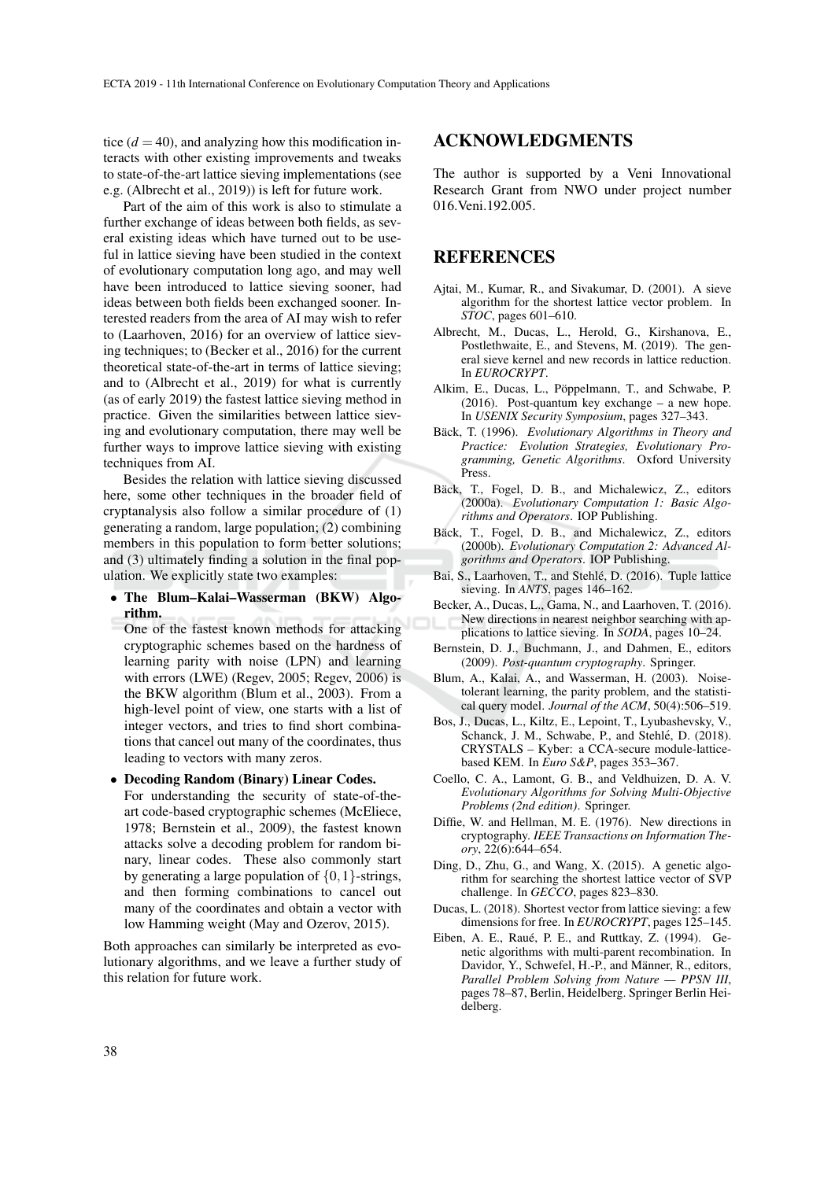tice  $(d = 40)$ , and analyzing how this modification interacts with other existing improvements and tweaks to state-of-the-art lattice sieving implementations (see e.g. (Albrecht et al., 2019)) is left for future work.

Part of the aim of this work is also to stimulate a further exchange of ideas between both fields, as several existing ideas which have turned out to be useful in lattice sieving have been studied in the context of evolutionary computation long ago, and may well have been introduced to lattice sieving sooner, had ideas between both fields been exchanged sooner. Interested readers from the area of AI may wish to refer to (Laarhoven, 2016) for an overview of lattice sieving techniques; to (Becker et al., 2016) for the current theoretical state-of-the-art in terms of lattice sieving; and to (Albrecht et al., 2019) for what is currently (as of early 2019) the fastest lattice sieving method in practice. Given the similarities between lattice sieving and evolutionary computation, there may well be further ways to improve lattice sieving with existing techniques from AI.

Besides the relation with lattice sieving discussed here, some other techniques in the broader field of cryptanalysis also follow a similar procedure of (1) generating a random, large population; (2) combining members in this population to form better solutions; and (3) ultimately finding a solution in the final population. We explicitly state two examples:

• The Blum–Kalai–Wasserman (BKW) Algorithm.

One of the fastest known methods for attacking cryptographic schemes based on the hardness of learning parity with noise (LPN) and learning with errors (LWE) (Regev, 2005; Regev, 2006) is the BKW algorithm (Blum et al., 2003). From a high-level point of view, one starts with a list of integer vectors, and tries to find short combinations that cancel out many of the coordinates, thus leading to vectors with many zeros.

- Decoding Random (Binary) Linear Codes.
	- For understanding the security of state-of-theart code-based cryptographic schemes (McEliece, 1978; Bernstein et al., 2009), the fastest known attacks solve a decoding problem for random binary, linear codes. These also commonly start by generating a large population of  $\{0,1\}$ -strings, and then forming combinations to cancel out many of the coordinates and obtain a vector with low Hamming weight (May and Ozerov, 2015).

Both approaches can similarly be interpreted as evolutionary algorithms, and we leave a further study of this relation for future work.

#### ACKNOWLEDGMENTS

The author is supported by a Veni Innovational Research Grant from NWO under project number 016.Veni.192.005.

## **REFERENCES**

- Ajtai, M., Kumar, R., and Sivakumar, D. (2001). A sieve algorithm for the shortest lattice vector problem. In *STOC*, pages 601–610.
- Albrecht, M., Ducas, L., Herold, G., Kirshanova, E., Postlethwaite, E., and Stevens, M. (2019). The general sieve kernel and new records in lattice reduction. In *EUROCRYPT*.
- Alkim, E., Ducas, L., Pöppelmann, T., and Schwabe, P. (2016). Post-quantum key exchange – a new hope. In *USENIX Security Symposium*, pages 327–343.
- Bäck, T. (1996). Evolutionary Algorithms in Theory and *Practice: Evolution Strategies, Evolutionary Programming, Genetic Algorithms*. Oxford University **Press**
- Bäck, T., Fogel, D. B., and Michalewicz, Z., editors (2000a). *Evolutionary Computation 1: Basic Algorithms and Operators*. IOP Publishing.
- Bäck, T., Fogel, D. B., and Michalewicz, Z., editors (2000b). *Evolutionary Computation 2: Advanced Algorithms and Operators*. IOP Publishing.
- Bai, S., Laarhoven, T., and Stehlé, D. (2016). Tuple lattice sieving. In *ANTS*, pages 146–162.
- Becker, A., Ducas, L., Gama, N., and Laarhoven, T. (2016). New directions in nearest neighbor searching with applications to lattice sieving. In *SODA*, pages 10–24.
- Bernstein, D. J., Buchmann, J., and Dahmen, E., editors (2009). *Post-quantum cryptography*. Springer.
- Blum, A., Kalai, A., and Wasserman, H. (2003). Noisetolerant learning, the parity problem, and the statistical query model. *Journal of the ACM*, 50(4):506–519.
- Bos, J., Ducas, L., Kiltz, E., Lepoint, T., Lyubashevsky, V., Schanck, J. M., Schwabe, P., and Stehlé, D. (2018). CRYSTALS – Kyber: a CCA-secure module-latticebased KEM. In *Euro S&P*, pages 353–367.
- Coello, C. A., Lamont, G. B., and Veldhuizen, D. A. V. *Evolutionary Algorithms for Solving Multi-Objective Problems (2nd edition)*. Springer.
- Diffie, W. and Hellman, M. E. (1976). New directions in cryptography. *IEEE Transactions on Information Theory*, 22(6):644–654.
- Ding, D., Zhu, G., and Wang, X. (2015). A genetic algorithm for searching the shortest lattice vector of SVP challenge. In *GECCO*, pages 823–830.
- Ducas, L. (2018). Shortest vector from lattice sieving: a few dimensions for free. In *EUROCRYPT*, pages 125–145.
- Eiben, A. E., Raué, P. E., and Ruttkay, Z. (1994). Genetic algorithms with multi-parent recombination. In Davidor, Y., Schwefel, H.-P., and Männer, R., editors, *Parallel Problem Solving from Nature — PPSN III*, pages 78–87, Berlin, Heidelberg. Springer Berlin Heidelberg.